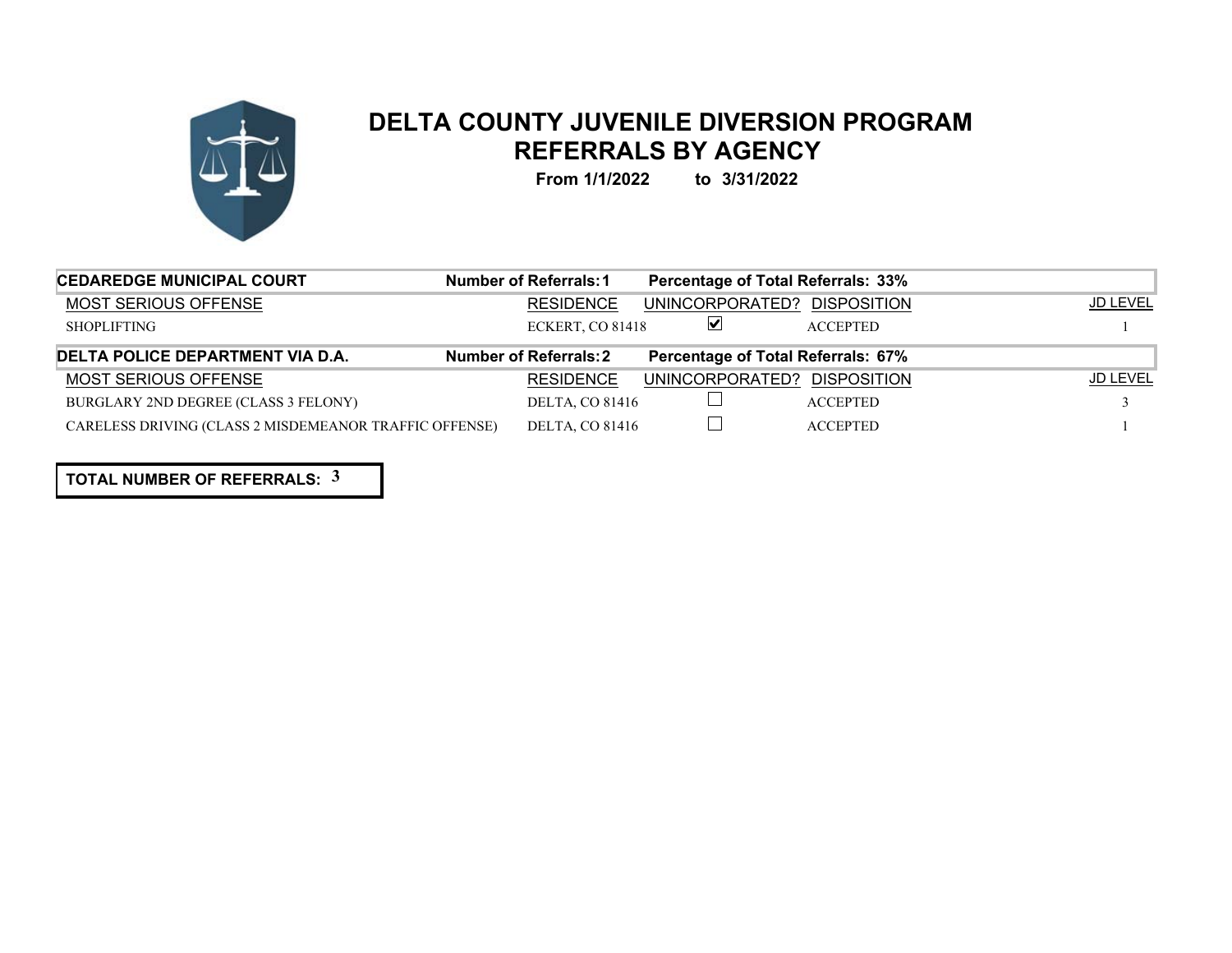

## **DELTA COUNTY JUVENILE DIVERSION PROGRAM REFERRALS BY AGENCY**

**From 1/1/2022 to 3/31/2022**

| <b>CEDAREDGE MUNICIPAL COURT</b>                       | Number of Referrals: 1        | <b>Percentage of Total Referrals: 33%</b> |                 |                 |
|--------------------------------------------------------|-------------------------------|-------------------------------------------|-----------------|-----------------|
| MOST SERIOUS OFFENSE                                   | <b>RESIDENCE</b>              | UNINCORPORATED? DISPOSITION               |                 | <b>JD LEVEL</b> |
| <b>SHOPLIFTING</b>                                     | ECKERT, CO 81418              | ⊻                                         | <b>ACCEPTED</b> |                 |
| DELTA POLICE DEPARTMENT VIA D.A.                       | <b>Number of Referrals: 2</b> | Percentage of Total Referrals: 67%        |                 |                 |
| <b>MOST SERIOUS OFFENSE</b>                            | <b>RESIDENCE</b>              | UNINCORPORATED? DISPOSITION               |                 | JD LEVEL        |
| BURGLARY 2ND DEGREE (CLASS 3 FELONY)                   | <b>DELTA, CO 81416</b>        |                                           | <b>ACCEPTED</b> |                 |
| CARELESS DRIVING (CLASS 2 MISDEMEANOR TRAFFIC OFFENSE) | <b>DELTA, CO 81416</b>        |                                           | <b>ACCEPTED</b> |                 |

**TOTAL NUMBER OF REFERRALS: 3**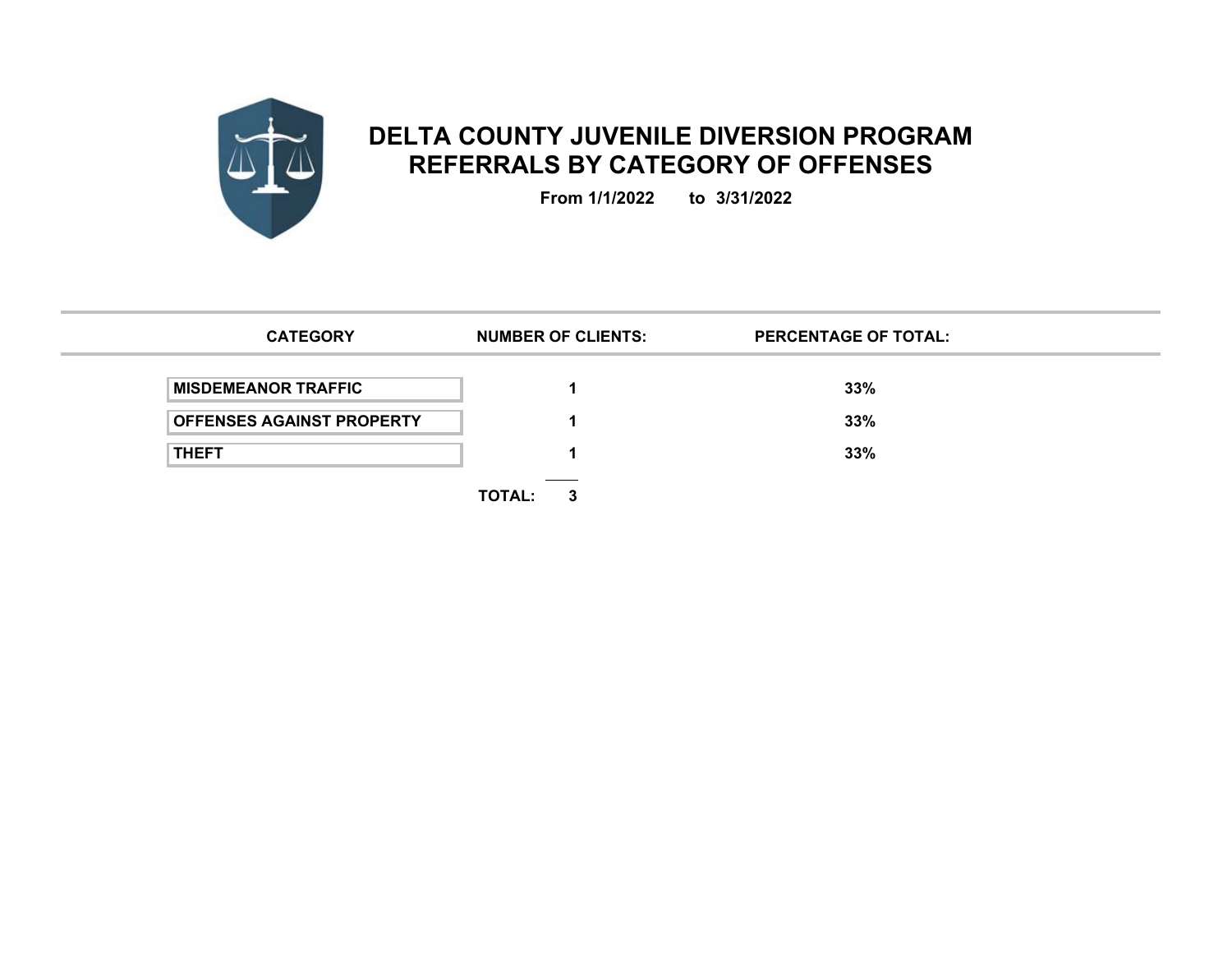

## **DELTA COUNTY JUVENILE DIVERSION PROGRAM REFERRALS BY CATEGORY OF OFFENSES**

**From 1/1/2022 to 3/31/2022**

| <b>CATEGORY</b>                  | <b>NUMBER OF CLIENTS:</b> | <b>PERCENTAGE OF TOTAL:</b> |  |
|----------------------------------|---------------------------|-----------------------------|--|
| <b>MISDEMEANOR TRAFFIC</b>       |                           | 33%                         |  |
| <b>OFFENSES AGAINST PROPERTY</b> |                           | 33%                         |  |
| <b>THEFT</b>                     |                           | 33%                         |  |
|                                  | <b>TOTAL:</b><br>3        |                             |  |